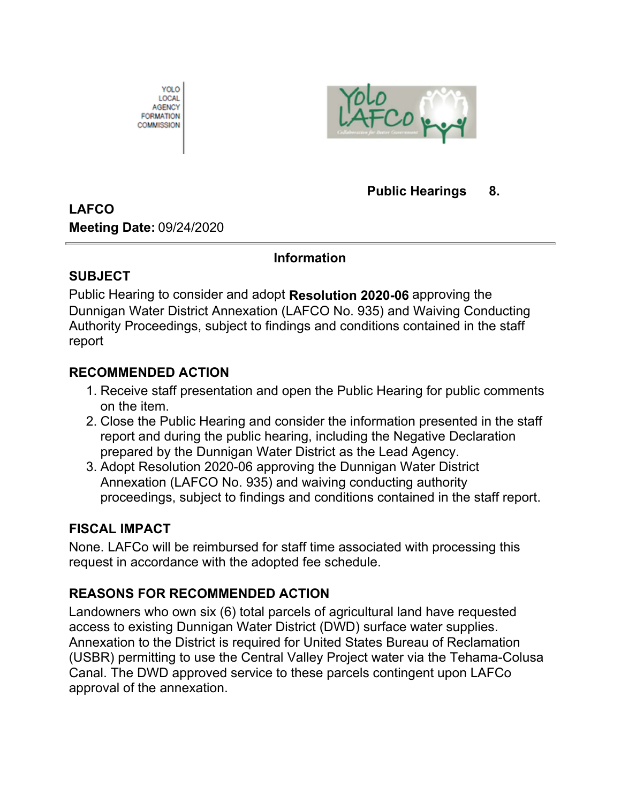



## **Public Hearings 8.**

## **LAFCO Meeting Date:** 09/24/2020

#### **Information**

## **SUBJECT**

Public Hearing to consider and adopt **Resolution 2020-06** approving the Dunnigan Water District Annexation (LAFCO No. 935) and Waiving Conducting Authority Proceedings, subject to findings and conditions contained in the staff report

## **RECOMMENDED ACTION**

- 1. Receive staff presentation and open the Public Hearing for public comments on the item.
- 2. Close the Public Hearing and consider the information presented in the staff report and during the public hearing, including the Negative Declaration prepared by the Dunnigan Water District as the Lead Agency.
- 3. Adopt Resolution 2020-06 approving the Dunnigan Water District Annexation (LAFCO No. 935) and waiving conducting authority proceedings, subject to findings and conditions contained in the staff report.

## **FISCAL IMPACT**

None. LAFCo will be reimbursed for staff time associated with processing this request in accordance with the adopted fee schedule.

## **REASONS FOR RECOMMENDED ACTION**

Landowners who own six (6) total parcels of agricultural land have requested access to existing Dunnigan Water District (DWD) surface water supplies. Annexation to the District is required for United States Bureau of Reclamation (USBR) permitting to use the Central Valley Project water via the Tehama-Colusa Canal. The DWD approved service to these parcels contingent upon LAFCo approval of the annexation.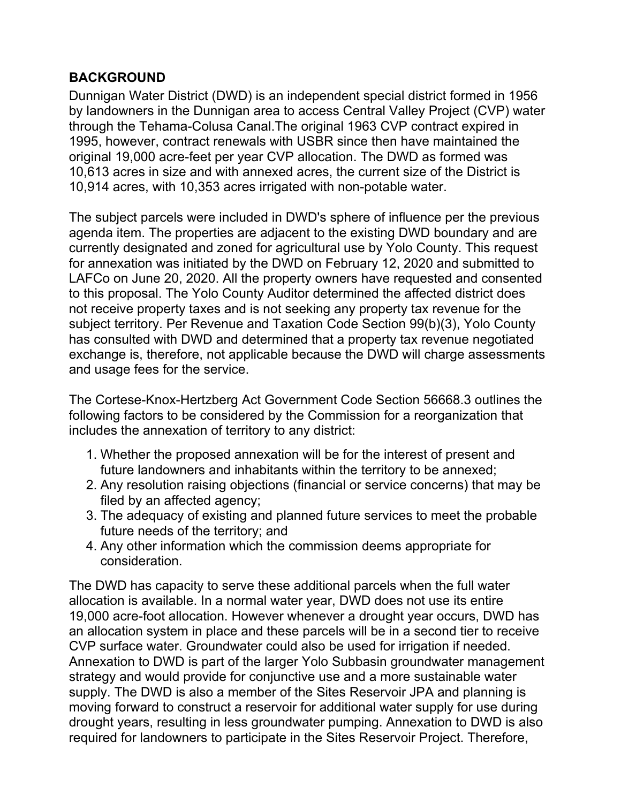## **BACKGROUND**

Dunnigan Water District (DWD) is an independent special district formed in 1956 by landowners in the Dunnigan area to access Central Valley Project (CVP) water through the Tehama-Colusa Canal.The original 1963 CVP contract expired in 1995, however, contract renewals with USBR since then have maintained the original 19,000 acre-feet per year CVP allocation. The DWD as formed was 10,613 acres in size and with annexed acres, the current size of the District is 10,914 acres, with 10,353 acres irrigated with non-potable water.

The subject parcels were included in DWD's sphere of influence per the previous agenda item. The properties are adjacent to the existing DWD boundary and are currently designated and zoned for agricultural use by Yolo County. This request for annexation was initiated by the DWD on February 12, 2020 and submitted to LAFCo on June 20, 2020. All the property owners have requested and consented to this proposal. The Yolo County Auditor determined the affected district does not receive property taxes and is not seeking any property tax revenue for the subject territory. Per Revenue and Taxation Code Section 99(b)(3), Yolo County has consulted with DWD and determined that a property tax revenue negotiated exchange is, therefore, not applicable because the DWD will charge assessments and usage fees for the service.

The Cortese-Knox-Hertzberg Act Government Code Section 56668.3 outlines the following factors to be considered by the Commission for a reorganization that includes the annexation of territory to any district:

- Whether the proposed annexation will be for the interest of present and 1. future landowners and inhabitants within the territory to be annexed;
- 2. Any resolution raising objections (financial or service concerns) that may be filed by an affected agency;
- The adequacy of existing and planned future services to meet the probable 3. future needs of the territory; and
- 4. Any other information which the commission deems appropriate for consideration.

The DWD has capacity to serve these additional parcels when the full water allocation is available. In a normal water year, DWD does not use its entire 19,000 acre-foot allocation. However whenever a drought year occurs, DWD has an allocation system in place and these parcels will be in a second tier to receive CVP surface water. Groundwater could also be used for irrigation if needed. Annexation to DWD is part of the larger Yolo Subbasin groundwater management strategy and would provide for conjunctive use and a more sustainable water supply. The DWD is also a member of the Sites Reservoir JPA and planning is moving forward to construct a reservoir for additional water supply for use during drought years, resulting in less groundwater pumping. Annexation to DWD is also required for landowners to participate in the Sites Reservoir Project. Therefore,